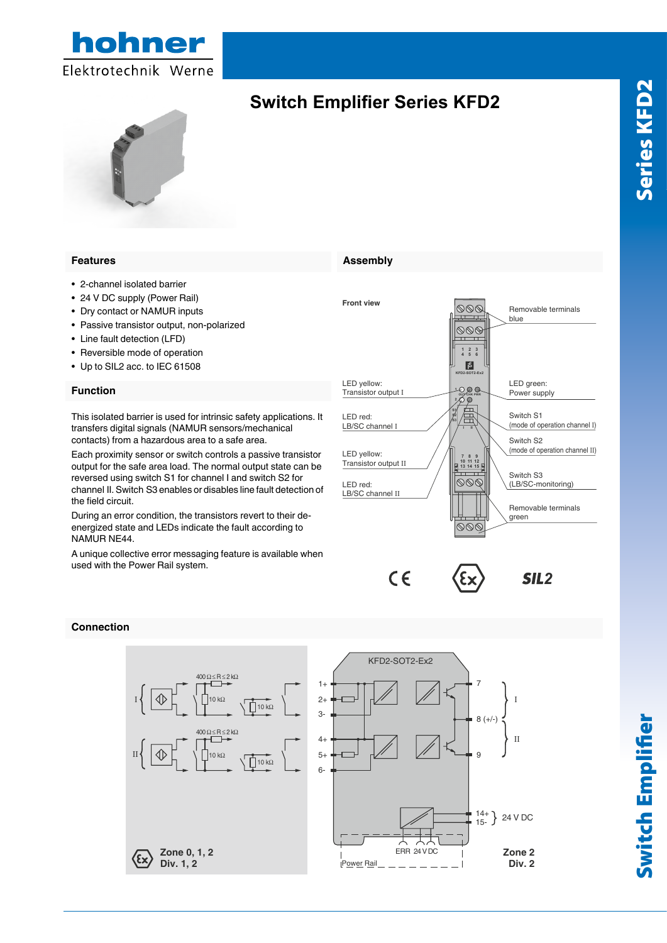

### **Features Features**

- 2-channel isolated barrier • 2-channel isolated barrier  $\sim$  2-channel isolated barnel
- 24 V DC supply (Power Rail)  $\epsilon$  +  $\epsilon$  DO supply (in over Figure
- Dry contact or NAMUR inputs • Pry contact of trainful imputs
- Passive transistor output, non-polarized • Lassive transision output,
- Line fault detection (LFD)
- Reversible mode of operation • Line radii detection (Li  $D_f$
- Up to SIL2 acc. to IEC 61508 • Theversible mode or operation

### **Function Function**

This isolated barrier is used for intrinsic safety applications. It transfers digital signals (NAMUR sensors/mechanical contacts) from a hazardous area to a safe area. This isolated barrier is used for intrinsic safety applications. It This isolated barrier is used for intrinsic safety applicate

Each proximity sensor or switch controls a passive transistor output for the safe area load. The normal output state can be reversed using switch S1 for channel I and switch S2 for channel II. Switch S3 enables or disables line fault detection of the field circuit.  $\sum_{i=1}^{n}$  $\epsilon$  ach proximity sensor or switch controls a passive transistor During an error condition, the transistors revert to their de-

During an error condition, the transistors revert to their deenergized state and LEDs indicate the fault according to NAMUR NE44. During an error condition, the transistors revert to their de  $\overline{\phantom{a}}$ 

A unique collective error messaging feature is available when used with the Power Rail system. A unique collective error messagir



# **Connection**



### **Assembly Assembly**

**Switch Emplifier Series KFD2**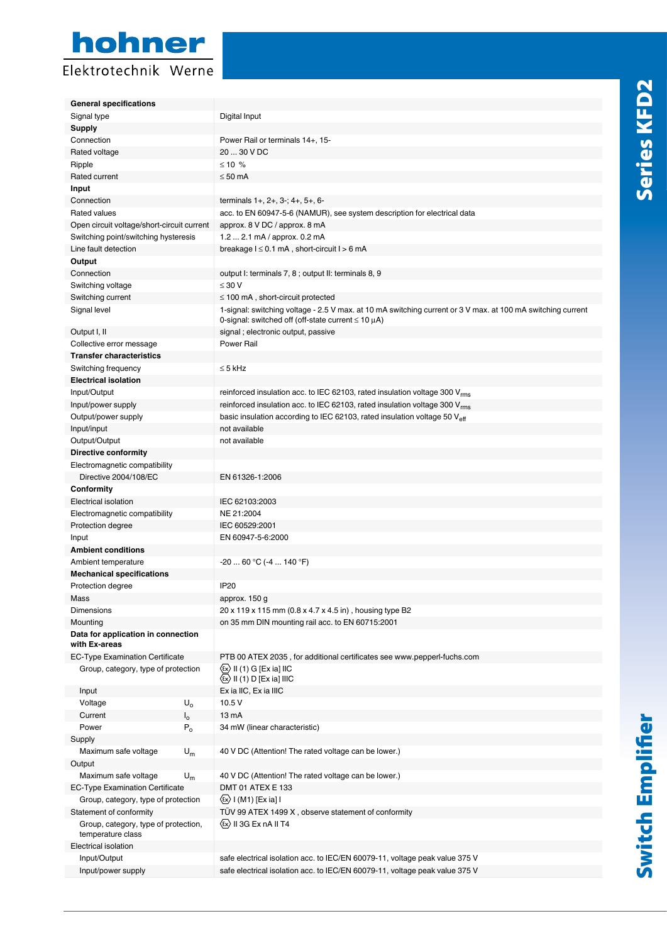# hohner Elektrotechnik Werne

| <b>General specifications</b>                             |                                                                                                             |
|-----------------------------------------------------------|-------------------------------------------------------------------------------------------------------------|
| Signal type                                               | Digital Input                                                                                               |
| <b>Supply</b>                                             |                                                                                                             |
| Connection                                                | Power Rail or terminals 14+, 15-                                                                            |
| Rated voltage                                             | 20  30 V DC                                                                                                 |
| Ripple                                                    | ≤ 10 %                                                                                                      |
| Rated current                                             | $\leq 50$ mA                                                                                                |
| Input                                                     |                                                                                                             |
| Connection                                                | terminals 1+, 2+, 3-; 4+, 5+, 6-                                                                            |
| Rated values                                              | acc. to EN 60947-5-6 (NAMUR), see system description for electrical data                                    |
| Open circuit voltage/short-circuit current                | approx. 8 V DC / approx. 8 mA                                                                               |
| Switching point/switching hysteresis                      | 1.2  2.1 mA / approx. 0.2 mA                                                                                |
| Line fault detection                                      | breakage I ≤ 0.1 mA, short-circuit I > 6 mA                                                                 |
| Output                                                    |                                                                                                             |
| Connection                                                | output I: terminals 7, 8; output II: terminals 8, 9                                                         |
| Switching voltage                                         | $\leq 30$ V                                                                                                 |
| Switching current                                         | $\leq$ 100 mA, short-circuit protected                                                                      |
| Signal level                                              | 1-signal: switching voltage - 2.5 V max. at 10 mA switching current or 3 V max. at 100 mA switching current |
|                                                           | 0-signal: switched off (off-state current $\leq 10 \mu$ A)                                                  |
| Output I, II                                              | signal; electronic output, passive<br><b>Power Rail</b>                                                     |
| Collective error message                                  |                                                                                                             |
| <b>Transfer characteristics</b>                           |                                                                                                             |
| Switching frequency<br><b>Electrical isolation</b>        | $\leq$ 5 kHz                                                                                                |
| Input/Output                                              | reinforced insulation acc. to IEC 62103, rated insulation voltage 300 $V_{rms}$                             |
| Input/power supply                                        | reinforced insulation acc. to IEC 62103, rated insulation voltage 300 V <sub>rms</sub>                      |
| Output/power supply                                       | basic insulation according to IEC 62103, rated insulation voltage 50 V <sub>eff</sub>                       |
| Input/input                                               | not available                                                                                               |
| Output/Output                                             | not available                                                                                               |
| <b>Directive conformity</b>                               |                                                                                                             |
| Electromagnetic compatibility                             |                                                                                                             |
| Directive 2004/108/EC                                     | EN 61326-1:2006                                                                                             |
| Conformity                                                |                                                                                                             |
| Electrical isolation                                      | IEC 62103:2003                                                                                              |
| Electromagnetic compatibility                             | NE 21:2004                                                                                                  |
| Protection degree                                         | IEC 60529:2001                                                                                              |
| Input                                                     | EN 60947-5-6:2000                                                                                           |
| <b>Ambient conditions</b>                                 |                                                                                                             |
| Ambient temperature                                       | $-2060 °C (-4140 °F)$                                                                                       |
| <b>Mechanical specifications</b>                          |                                                                                                             |
| Protection degree                                         | IP <sub>20</sub>                                                                                            |
| Mass                                                      | approx. 150 g                                                                                               |
| Dimensions                                                | 20 x 119 x 115 mm (0.8 x 4.7 x 4.5 in), housing type B2                                                     |
| Mounting                                                  | on 35 mm DIN mounting rail acc. to EN 60715:2001                                                            |
| Data for application in connection<br>with Ex-areas       |                                                                                                             |
| <b>EC-Type Examination Certificate</b>                    | PTB 00 ATEX 2035, for additional certificates see www.pepperl-fuchs.com                                     |
| Group, category, type of protection                       | $\langle x \rangle$ II (1) G [Ex ia] IIC                                                                    |
|                                                           | $\langle x \rangle$ II (1) D [Ex ia] IIIC                                                                   |
| Input                                                     | Ex ia IIC, Ex ia IIIC                                                                                       |
| Voltage<br>$U_{o}$                                        | 10.5 V                                                                                                      |
| Current<br>$I_{o}$                                        | 13 mA                                                                                                       |
| Power<br>$P_{o}$                                          | 34 mW (linear characteristic)                                                                               |
| Supply                                                    |                                                                                                             |
| Maximum safe voltage<br>$U_m$                             | 40 V DC (Attention! The rated voltage can be lower.)                                                        |
| Output                                                    |                                                                                                             |
| Maximum safe voltage<br>$U_m$                             | 40 V DC (Attention! The rated voltage can be lower.)                                                        |
| <b>EC-Type Examination Certificate</b>                    | DMT 01 ATEX E 133                                                                                           |
| Group, category, type of protection                       | {εx} I (M1) [Ex ia] I                                                                                       |
| Statement of conformity                                   | TÜV 99 ATEX 1499 X, observe statement of conformity                                                         |
| Group, category, type of protection,<br>temperature class | $\langle x \rangle$ II 3G Ex nA II T4                                                                       |
| Electrical isolation                                      |                                                                                                             |
| Input/Output                                              | safe electrical isolation acc. to IEC/EN 60079-11, voltage peak value 375 V                                 |
| Input/power supply                                        | safe electrical isolation acc. to IEC/EN 60079-11, voltage peak value 375 V                                 |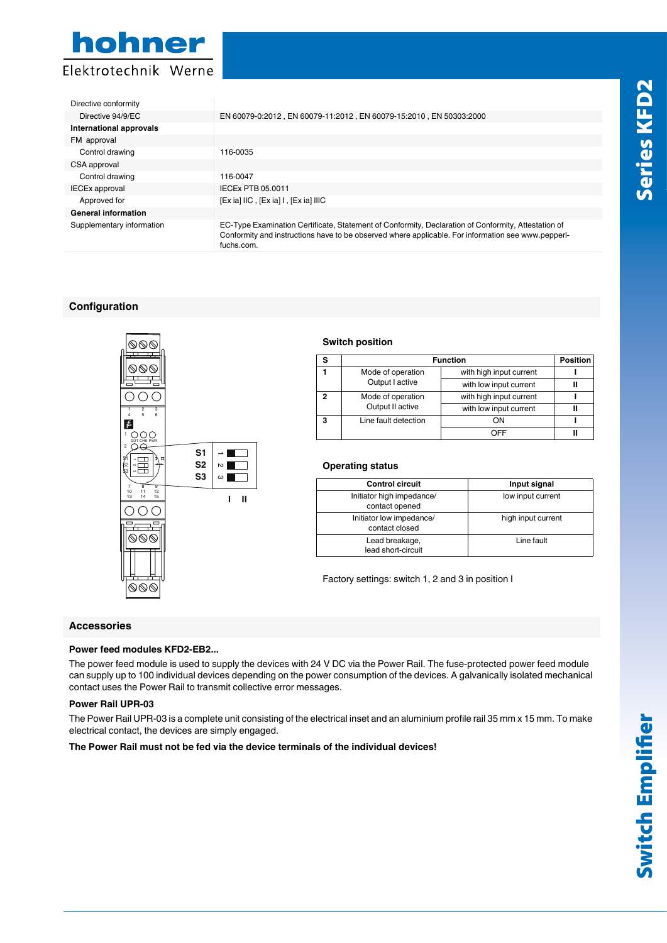

| Directive conformity       |                                                                                                                                                                                                                         |
|----------------------------|-------------------------------------------------------------------------------------------------------------------------------------------------------------------------------------------------------------------------|
| Directive 94/9/EC          | EN 60079-0:2012, EN 60079-11:2012, EN 60079-15:2010, EN 50303:2000                                                                                                                                                      |
| International approvals    |                                                                                                                                                                                                                         |
| FM approval                |                                                                                                                                                                                                                         |
| Control drawing            | 116-0035                                                                                                                                                                                                                |
| CSA approval               |                                                                                                                                                                                                                         |
| Control drawing            | 116-0047                                                                                                                                                                                                                |
| <b>IECEx approval</b>      | IECEx PTB 05.0011                                                                                                                                                                                                       |
| Approved for               | $[Ex ia]$ IIC, $[Ex ia]$ I, $[Ex ia]$ IIIC                                                                                                                                                                              |
| <b>General information</b> |                                                                                                                                                                                                                         |
| Supplementary information  | EC-Type Examination Certificate, Statement of Conformity, Declaration of Conformity, Attestation of<br>Conformity and instructions have to be observed where applicable. For information see www.pepperl-<br>fuchs.com. |

# **Configuration**



# **Switch position**

| e | <b>Function</b>      |                         | <b>Position</b> |
|---|----------------------|-------------------------|-----------------|
|   | Mode of operation    | with high input current |                 |
|   | Output I active      | with low input current  |                 |
| , | Mode of operation    | with high input current |                 |
|   | Output II active     | with low input current  |                 |
| з | Line fault detection | ωN                      |                 |
|   |                      | ∩FF                     |                 |

# **Operating status**

| <b>Control circuit</b>                      | Input signal       |
|---------------------------------------------|--------------------|
| Initiator high impedance/<br>contact opened | low input current  |
| Initiator low impedance/<br>contact closed  | high input current |
| Lead breakage,<br>lead short-circuit        | Line fault         |
|                                             |                    |

Factory settings: switch 1, 2 and 3 in position I

# **Accessories**

# **Power feed modules KFD2-EB2...**

The power feed module is used to supply the devices with 24 V DC via the Power Rail. The fuse-protected power feed module can supply up to 100 individual devices depending on the power consumption of the devices. A galvanically isolated mechanical contact uses the Power Rail to transmit collective error messages.

## **Power Rail UPR-03**

The Power Rail UPR-03 is a complete unit consisting of the electrical inset and an aluminium profile rail 35 mm x 15 mm. To make electrical contact, the devices are simply engaged.

**The Power Rail must not be fed via the device terminals of the individual devices!**